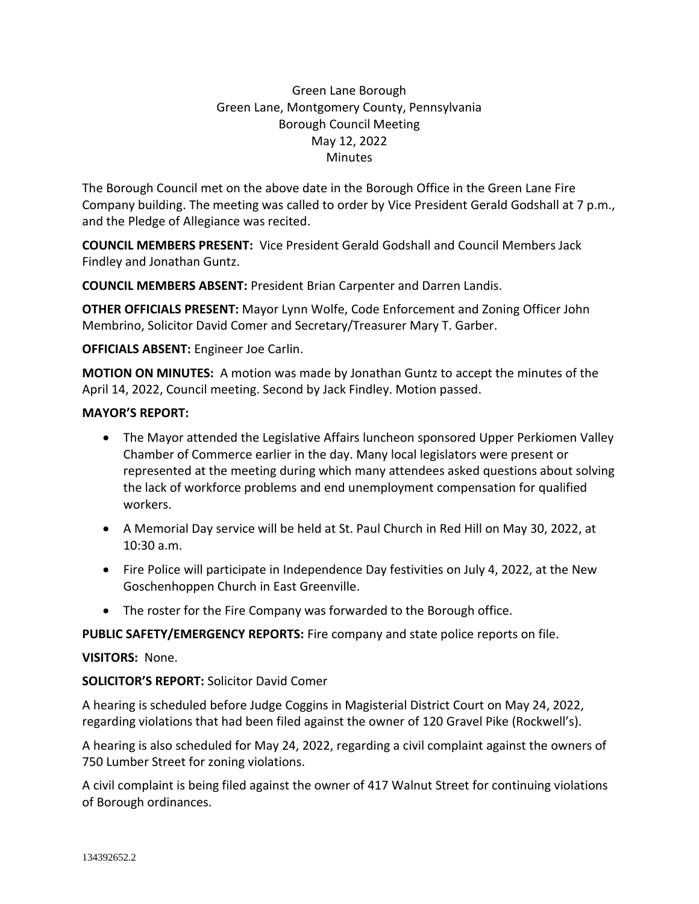# Green Lane Borough Green Lane, Montgomery County, Pennsylvania Borough Council Meeting May 12, 2022 **Minutes**

The Borough Council met on the above date in the Borough Office in the Green Lane Fire Company building. The meeting was called to order by Vice President Gerald Godshall at 7 p.m., and the Pledge of Allegiance was recited.

**COUNCIL MEMBERS PRESENT:** Vice President Gerald Godshall and Council Members Jack Findley and Jonathan Guntz.

**COUNCIL MEMBERS ABSENT:** President Brian Carpenter and Darren Landis.

**OTHER OFFICIALS PRESENT:** Mayor Lynn Wolfe, Code Enforcement and Zoning Officer John Membrino, Solicitor David Comer and Secretary/Treasurer Mary T. Garber.

**OFFICIALS ABSENT:** Engineer Joe Carlin.

**MOTION ON MINUTES:** A motion was made by Jonathan Guntz to accept the minutes of the April 14, 2022, Council meeting. Second by Jack Findley. Motion passed.

# **MAYOR'S REPORT:**

- The Mayor attended the Legislative Affairs luncheon sponsored Upper Perkiomen Valley Chamber of Commerce earlier in the day. Many local legislators were present or represented at the meeting during which many attendees asked questions about solving the lack of workforce problems and end unemployment compensation for qualified workers.
- A Memorial Day service will be held at St. Paul Church in Red Hill on May 30, 2022, at 10:30 a.m.
- Fire Police will participate in Independence Day festivities on July 4, 2022, at the New Goschenhoppen Church in East Greenville.
- The roster for the Fire Company was forwarded to the Borough office.

**PUBLIC SAFETY/EMERGENCY REPORTS:** Fire company and state police reports on file.

# **VISITORS:** None.

**SOLICITOR'S REPORT:** Solicitor David Comer

A hearing is scheduled before Judge Coggins in Magisterial District Court on May 24, 2022, regarding violations that had been filed against the owner of 120 Gravel Pike (Rockwell's).

A hearing is also scheduled for May 24, 2022, regarding a civil complaint against the owners of 750 Lumber Street for zoning violations.

A civil complaint is being filed against the owner of 417 Walnut Street for continuing violations of Borough ordinances.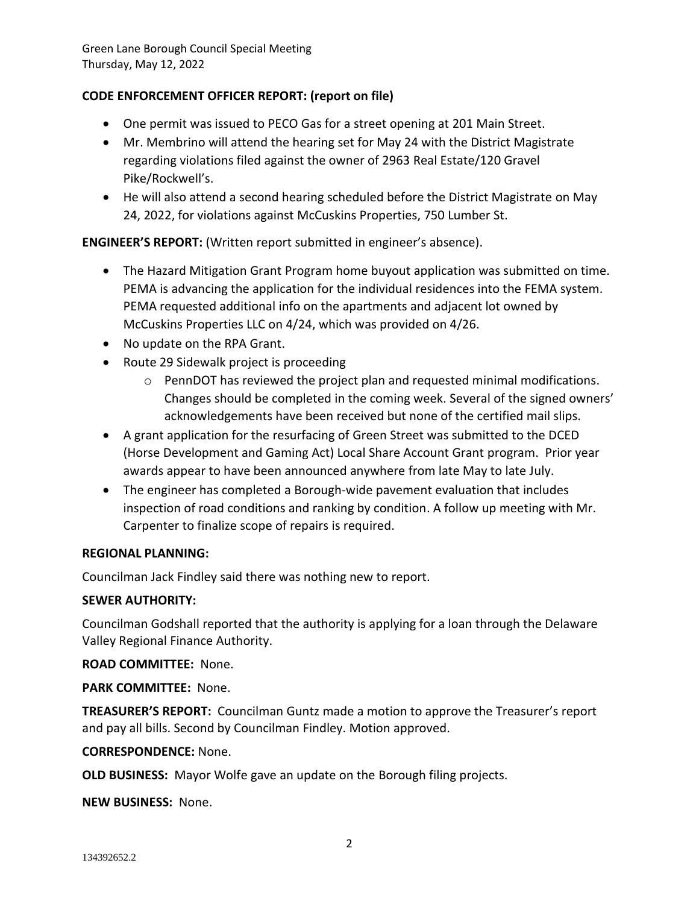# **CODE ENFORCEMENT OFFICER REPORT: (report on file)**

- One permit was issued to PECO Gas for a street opening at 201 Main Street.
- Mr. Membrino will attend the hearing set for May 24 with the District Magistrate regarding violations filed against the owner of 2963 Real Estate/120 Gravel Pike/Rockwell's.
- He will also attend a second hearing scheduled before the District Magistrate on May 24, 2022, for violations against McCuskins Properties, 750 Lumber St.

**ENGINEER'S REPORT:** (Written report submitted in engineer's absence).

- The Hazard Mitigation Grant Program home buyout application was submitted on time. PEMA is advancing the application for the individual residences into the FEMA system. PEMA requested additional info on the apartments and adjacent lot owned by McCuskins Properties LLC on 4/24, which was provided on 4/26.
- No update on the RPA Grant.
- Route 29 Sidewalk project is proceeding
	- $\circ$  PennDOT has reviewed the project plan and requested minimal modifications. Changes should be completed in the coming week. Several of the signed owners' acknowledgements have been received but none of the certified mail slips.
- A grant application for the resurfacing of Green Street was submitted to the DCED (Horse Development and Gaming Act) Local Share Account Grant program. Prior year awards appear to have been announced anywhere from late May to late July.
- The engineer has completed a Borough-wide pavement evaluation that includes inspection of road conditions and ranking by condition. A follow up meeting with Mr. Carpenter to finalize scope of repairs is required.

# **REGIONAL PLANNING:**

Councilman Jack Findley said there was nothing new to report.

# **SEWER AUTHORITY:**

Councilman Godshall reported that the authority is applying for a loan through the Delaware Valley Regional Finance Authority.

**ROAD COMMITTEE:** None.

**PARK COMMITTEE:** None.

**TREASURER'S REPORT:** Councilman Guntz made a motion to approve the Treasurer's report and pay all bills. Second by Councilman Findley. Motion approved.

#### **CORRESPONDENCE:** None.

**OLD BUSINESS:** Mayor Wolfe gave an update on the Borough filing projects.

**NEW BUSINESS:** None.